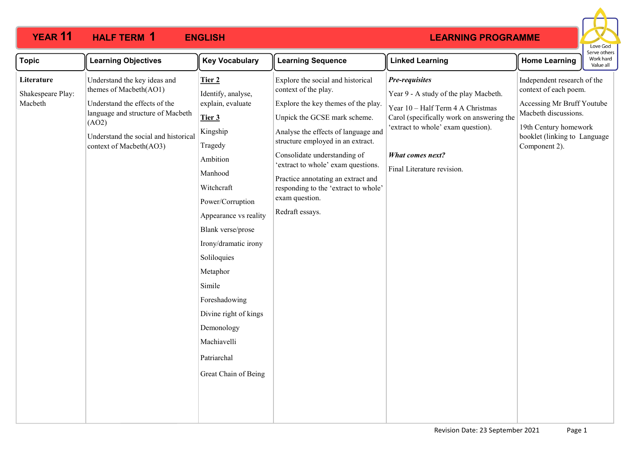

| <b>Topic</b><br><b>Learning Objectives</b>                                                                                                                                                                                                             | <b>Key Vocabulary</b>                                                                                                                                                                                                                                                                                                                                                | <b>Learning Sequence</b>                                                                                                                                                                                                                                                                                                                                                                              | <b>Linked Learning</b>                                                                                                                                                                                                                   | <b>Home Learning</b>                                                                                                                                                                 | וסטועכ טעופו.<br>Work hard<br>Value all |
|--------------------------------------------------------------------------------------------------------------------------------------------------------------------------------------------------------------------------------------------------------|----------------------------------------------------------------------------------------------------------------------------------------------------------------------------------------------------------------------------------------------------------------------------------------------------------------------------------------------------------------------|-------------------------------------------------------------------------------------------------------------------------------------------------------------------------------------------------------------------------------------------------------------------------------------------------------------------------------------------------------------------------------------------------------|------------------------------------------------------------------------------------------------------------------------------------------------------------------------------------------------------------------------------------------|--------------------------------------------------------------------------------------------------------------------------------------------------------------------------------------|-----------------------------------------|
| Understand the key ideas and<br>Literature<br>themes of Macbeth(AO1)<br>Shakespeare Play:<br>Macbeth<br>Understand the effects of the<br>language and structure of Macbeth<br>(AO2)<br>Understand the social and historical<br>context of Macbeth(AO3) | Tier 2<br>Identify, analyse,<br>explain, evaluate<br>Tier 3<br>Kingship<br>Tragedy<br>Ambition<br>Manhood<br>Witchcraft<br>Power/Corruption<br>Appearance vs reality<br>Blank verse/prose<br>Irony/dramatic irony<br>Soliloquies<br>Metaphor<br>Simile<br>Foreshadowing<br>Divine right of kings<br>Demonology<br>Machiavelli<br>Patriarchal<br>Great Chain of Being | Explore the social and historical<br>context of the play.<br>Explore the key themes of the play.<br>Unpick the GCSE mark scheme.<br>Analyse the effects of language and<br>structure employed in an extract.<br>Consolidate understanding of<br>'extract to whole' exam questions.<br>Practice annotating an extract and<br>responding to the 'extract to whole'<br>exam question.<br>Redraft essays. | Pre-requisites<br>Year 9 - A study of the play Macbeth.<br>Year 10 - Half Term 4 A Christmas<br>Carol (specifically work on answering the<br>'extract to whole' exam question).<br><b>What comes next?</b><br>Final Literature revision. | Independent research of the<br>context of each poem.<br>Accessing Mr Bruff Youtube<br>Macbeth discussions.<br>19th Century homework<br>booklet (linking to Language<br>Component 2). |                                         |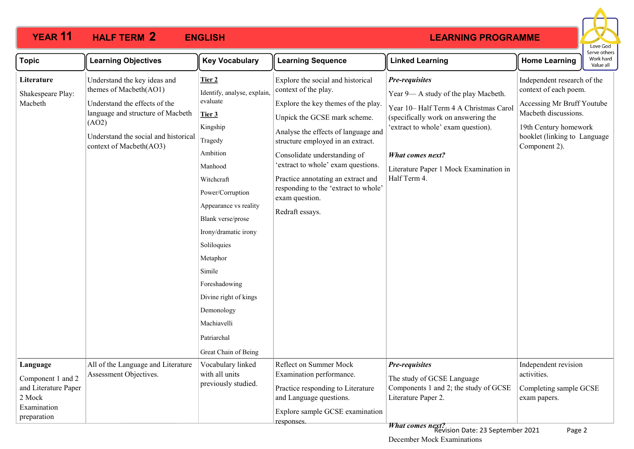

| <b>Topic</b>                                                                                  | <b>Learning Objectives</b>                                                                                                                                                                               | <b>Key Vocabulary</b>                                                                                                                                                                                                                                                                                                                                                | <b>Learning Sequence</b>                                                                                                                                                                                                                                                                                                                                                                              | <b>Linked Learning</b>                                                                                                                                                                                                                                     | יכו עכ טנווכו.<br>Work hard<br><b>Home Learning</b><br>Value all                                                                                                                     |  |
|-----------------------------------------------------------------------------------------------|----------------------------------------------------------------------------------------------------------------------------------------------------------------------------------------------------------|----------------------------------------------------------------------------------------------------------------------------------------------------------------------------------------------------------------------------------------------------------------------------------------------------------------------------------------------------------------------|-------------------------------------------------------------------------------------------------------------------------------------------------------------------------------------------------------------------------------------------------------------------------------------------------------------------------------------------------------------------------------------------------------|------------------------------------------------------------------------------------------------------------------------------------------------------------------------------------------------------------------------------------------------------------|--------------------------------------------------------------------------------------------------------------------------------------------------------------------------------------|--|
| Literature<br>Shakespeare Play:<br>Macbeth                                                    | Understand the key ideas and<br>themes of Macbeth(AO1)<br>Understand the effects of the<br>language and structure of Macbeth<br>(AO2)<br>Understand the social and historical<br>context of Macbeth(AO3) | Tier 2<br>Identify, analyse, explain,<br>evaluate<br>Tier 3<br>Kingship<br>Tragedy<br>Ambition<br>Manhood<br>Witchcraft<br>Power/Corruption<br>Appearance vs reality<br>Blank verse/prose<br>Irony/dramatic irony<br>Soliloquies<br>Metaphor<br>Simile<br>Foreshadowing<br>Divine right of kings<br>Demonology<br>Machiavelli<br>Patriarchal<br>Great Chain of Being | Explore the social and historical<br>context of the play.<br>Explore the key themes of the play.<br>Unpick the GCSE mark scheme.<br>Analyse the effects of language and<br>structure employed in an extract.<br>Consolidate understanding of<br>'extract to whole' exam questions.<br>Practice annotating an extract and<br>responding to the 'extract to whole'<br>exam question.<br>Redraft essays. | Pre-requisites<br>Year 9— A study of the play Macbeth.<br>Year 10-Half Term 4 A Christmas Carol<br>(specifically work on answering the<br>'extract to whole' exam question).<br>What comes next?<br>Literature Paper 1 Mock Examination in<br>Half Term 4. | Independent research of the<br>context of each poem.<br>Accessing Mr Bruff Youtube<br>Macbeth discussions.<br>19th Century homework<br>booklet (linking to Language<br>Component 2). |  |
| Language<br>Component 1 and 2<br>and Literature Paper<br>2 Mock<br>Examination<br>preparation | All of the Language and Literature<br>Assessment Objectives.                                                                                                                                             | Vocabulary linked<br>with all units<br>previously studied.                                                                                                                                                                                                                                                                                                           | Reflect on Summer Mock<br>Examination performance.<br>Practice responding to Literature<br>and Language questions.<br>Explore sample GCSE examination<br>responses.                                                                                                                                                                                                                                   | Pre-requisites<br>The study of GCSE Language<br>Components 1 and 2; the study of GCSE<br>Literature Paper 2.<br>What comes next?                                                                                                                           | Independent revision<br>activities.<br>Completing sample GCSE<br>exam papers.                                                                                                        |  |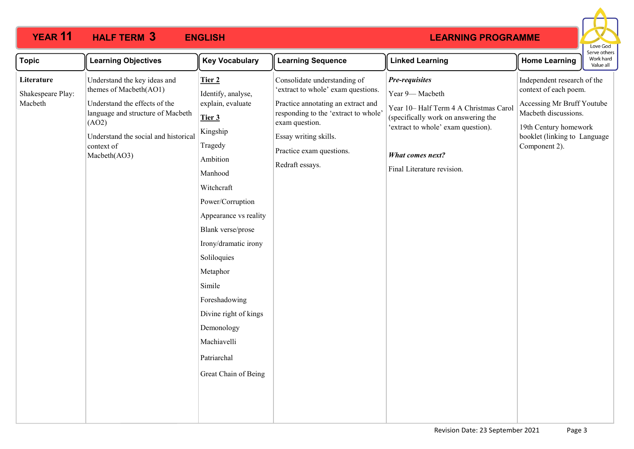

| <b>Topic</b><br><b>Learning Objectives</b><br><b>Key Vocabulary</b><br><b>Learning Sequence</b><br><b>Linked Learning</b><br><b>Home Learning</b>                                                                                                                                                                                                                                                                                                                                                                                                                                                                                                                                                                                                                                                                                                                                                                                                                                                                                                                                                                                                                                                                                                                                   | serve others<br>Work hard<br>Value all |
|-------------------------------------------------------------------------------------------------------------------------------------------------------------------------------------------------------------------------------------------------------------------------------------------------------------------------------------------------------------------------------------------------------------------------------------------------------------------------------------------------------------------------------------------------------------------------------------------------------------------------------------------------------------------------------------------------------------------------------------------------------------------------------------------------------------------------------------------------------------------------------------------------------------------------------------------------------------------------------------------------------------------------------------------------------------------------------------------------------------------------------------------------------------------------------------------------------------------------------------------------------------------------------------|----------------------------------------|
| Understand the key ideas and<br>Consolidate understanding of<br>Independent research of the<br>Literature<br>Pre-requisites<br>Tier 2<br>themes of Macbeth(AO1)<br>'extract to whole' exam questions.<br>context of each poem.<br>Identify, analyse,<br>Year 9-Macbeth<br>Shakespeare Play:<br>Macbeth<br>Understand the effects of the<br>explain, evaluate<br>Practice annotating an extract and<br>Accessing Mr Bruff Youtube<br>Year 10-Half Term 4 A Christmas Carol<br>Macbeth discussions.<br>language and structure of Macbeth<br>responding to the 'extract to whole'<br>(specifically work on answering the<br>Tier 3<br>exam question.<br>(AO2)<br>'extract to whole' exam question).<br>19th Century homework<br>Kingship<br>Understand the social and historical<br>Essay writing skills.<br>booklet (linking to Language<br>Tragedy<br>context of<br>Component 2).<br>Practice exam questions.<br>What comes next?<br>Macbeth(AO3)<br>Ambition<br>Redraft essays.<br>Final Literature revision.<br>Manhood<br>Witchcraft<br>Power/Corruption<br>Appearance vs reality<br>Blank verse/prose<br>Irony/dramatic irony<br>Soliloquies<br>Metaphor<br>Simile<br>Foreshadowing<br>Divine right of kings<br>Demonology<br>Machiavelli<br>Patriarchal<br>Great Chain of Being |                                        |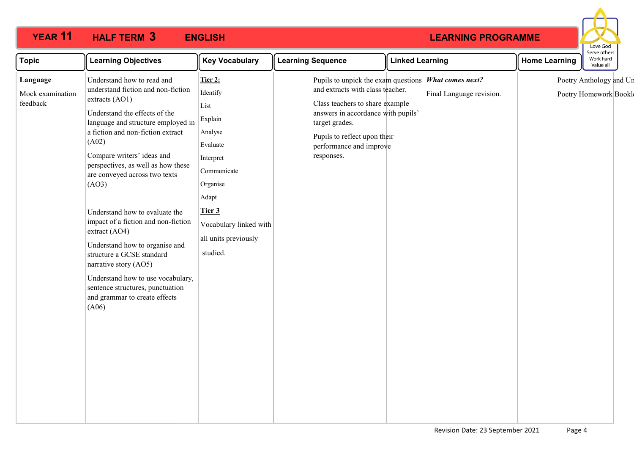

| Understand how to read and<br>Pupils to unpick the exam questions What comes next?<br>Poetry Anthology and Un<br>Tier 2:<br>Language<br>understand fiction and non-fiction<br>and extracts with class teacher.<br>Identify<br>Final Language revision.<br>Mock examination<br>Poetry Homework Bookle<br>extracts (AO1)<br>feedback<br>Class teachers to share example<br>List<br>Understand the effects of the<br>answers in accordance with pupils'<br>Explain<br>language and structure employed in<br>target grades.<br>a fiction and non-fiction extract<br>Analyse<br>Pupils to reflect upon their<br>(A02)<br>Evaluate<br>performance and improve<br>Compare writers' ideas and<br>responses.<br>Interpret<br>perspectives, as well as how these<br>Communicate<br>are conveyed across two texts<br>(AO3)<br>Organise<br>Adapt<br>Tier 3<br>Understand how to evaluate the<br>impact of a fiction and non-fiction<br>Vocabulary linked with<br>extract (AO4)<br>all units previously<br>Understand how to organise and<br>studied.<br>structure a GCSE standard<br>narrative story (AO5)<br>Understand how to use vocabulary,<br>sentence structures, punctuation<br>and grammar to create effects<br>(A06) |
|-------------------------------------------------------------------------------------------------------------------------------------------------------------------------------------------------------------------------------------------------------------------------------------------------------------------------------------------------------------------------------------------------------------------------------------------------------------------------------------------------------------------------------------------------------------------------------------------------------------------------------------------------------------------------------------------------------------------------------------------------------------------------------------------------------------------------------------------------------------------------------------------------------------------------------------------------------------------------------------------------------------------------------------------------------------------------------------------------------------------------------------------------------------------------------------------------------------------|
|                                                                                                                                                                                                                                                                                                                                                                                                                                                                                                                                                                                                                                                                                                                                                                                                                                                                                                                                                                                                                                                                                                                                                                                                                   |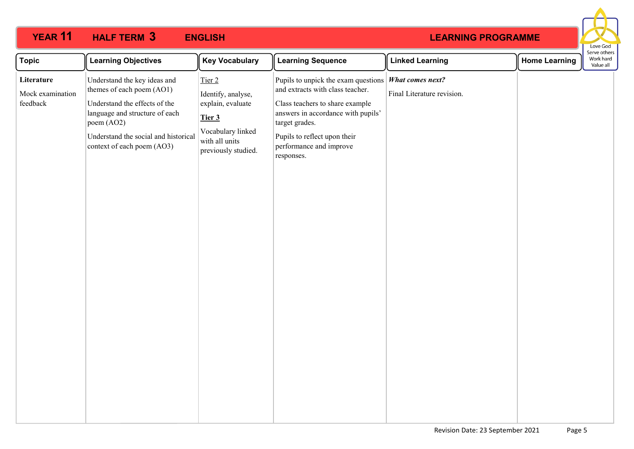

| <b>Topic</b><br><b>Learning Objectives</b>                                                                                                                                                                                                                     | <b>Key Vocabulary</b>                                                                                                     | <b>Learning Sequence</b>                                                                                                                                                                                                                                            | <b>Linked Learning</b>     | <b>Home Learning</b> | Serve others<br>Work hard<br>Value all |
|----------------------------------------------------------------------------------------------------------------------------------------------------------------------------------------------------------------------------------------------------------------|---------------------------------------------------------------------------------------------------------------------------|---------------------------------------------------------------------------------------------------------------------------------------------------------------------------------------------------------------------------------------------------------------------|----------------------------|----------------------|----------------------------------------|
| Understand the key ideas and<br>Literature<br>themes of each poem (AO1)<br>Mock examination<br>feedback<br>Understand the effects of the<br>language and structure of each<br>poem (AO2)<br>Understand the social and historical<br>context of each poem (AO3) | Tier 2<br>Identify, analyse,<br>explain, evaluate<br>Tier 3<br>Vocabulary linked<br>with all units<br>previously studied. | Pupils to unpick the exam questions <i>What comes next?</i><br>and extracts with class teacher.<br>Class teachers to share example<br>answers in accordance with pupils'<br>target grades.<br>Pupils to reflect upon their<br>performance and improve<br>responses. | Final Literature revision. |                      |                                        |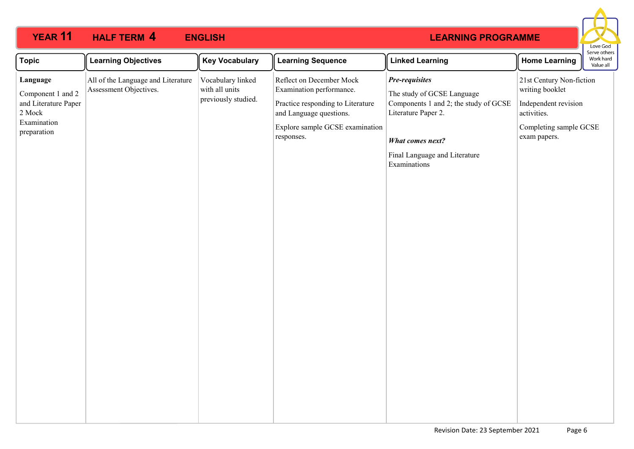

| <b>Topic</b>                                                                                  | <b>Learning Objectives</b>                                   | <b>Key Vocabulary</b>                                      | <b>Learning Sequence</b>                                                                                                                                              | <b>Linked Learning</b>                                                                                                                                                            | <b>Home Learning</b>                                                                                                         | Work hard<br>Value all |
|-----------------------------------------------------------------------------------------------|--------------------------------------------------------------|------------------------------------------------------------|-----------------------------------------------------------------------------------------------------------------------------------------------------------------------|-----------------------------------------------------------------------------------------------------------------------------------------------------------------------------------|------------------------------------------------------------------------------------------------------------------------------|------------------------|
| Language<br>Component 1 and 2<br>and Literature Paper<br>2 Mock<br>Examination<br>preparation | All of the Language and Literature<br>Assessment Objectives. | Vocabulary linked<br>with all units<br>previously studied. | Reflect on December Mock<br>Examination performance.<br>Practice responding to Literature<br>and Language questions.<br>Explore sample GCSE examination<br>responses. | Pre-requisites<br>The study of GCSE Language<br>Components 1 and 2; the study of GCSE<br>Literature Paper 2.<br>What comes next?<br>Final Language and Literature<br>Examinations | 21st Century Non-fiction<br>writing booklet<br>Independent revision<br>activities.<br>Completing sample GCSE<br>exam papers. | Serve others           |
|                                                                                               |                                                              |                                                            |                                                                                                                                                                       |                                                                                                                                                                                   |                                                                                                                              |                        |